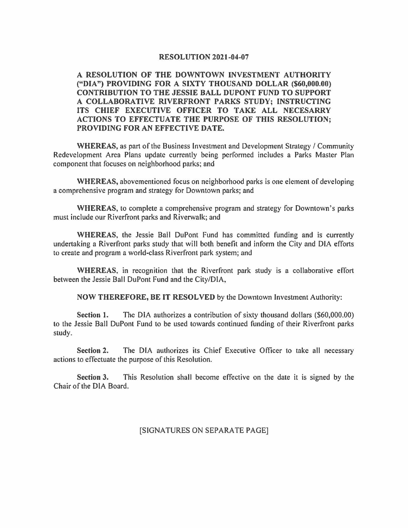## **RESOLUTION 2021-04-07**

**A RESOLUTION OF THE DOWNTOWN INVESTMENT AUTHORITY ("DIA") PROVIDING FOR A SIXTY THOUSAND DOLLAR (\$60,000.00) CONTRIBUTION TO THE JESSIE BALL DUPONT FUND TO SUPPORT A COLLABORATIVE RIVERFRONT PARKS STUDY; INSTRUCTING ITS CHIEF EXECUTIVE OFFICER TO TAKE ALL NECESARRY ACTIONS TO EFFECTUATE THE PURPOSE OF THIS RESOLUTION; PROVIDING FOR AN EFFECTIVE DATE.** 

**WHEREAS,** as part of the Business Investment and Development Strategy/ Community Redevelopment Area Plans update currently being performed includes a Parks Master Plan component that focuses on neighborhood parks; and

**WHEREAS,** abovementioned focus on neighborhood parks is one element of developing a comprehensive program and strategy for Downtown parks; and

**WHEREAS,** to complete a comprehensive program and strategy for Downtown's parks must include our Riverfront parks and Riverwalk; and

**WHEREAS,** the Jessie Ball DuPont Fund has committed funding and is currently undertaking a Riverfront parks study that will both benefit and inform the City and DIA efforts to create and program a world-class Riverfront park system; and

**WHEREAS,** in recognition that the Riverfront park study is a collaborative effort between the Jessie Ball DuPont Fund and the City/DIA,

**NOW THEREFORE, BE IT RESOLVED** by the Downtown Investment Authority:

**Section** I. The DIA authorizes a contribution of sixty thousand dollars (\$60,000.00) to the Jessie Ball DuPont Fund to be used towards continued funding of their Riverfront parks study.

**Section 2.** The DIA authorizes its Chief Executive Officer to take all necessary actions to effectuate the purpose of this Resolution.

**Section 3.** This Resolution shall become effective on the date it is signed by the Chair of the DIA Board.

## [SIGNATURES ON SEPARATE PAGE]